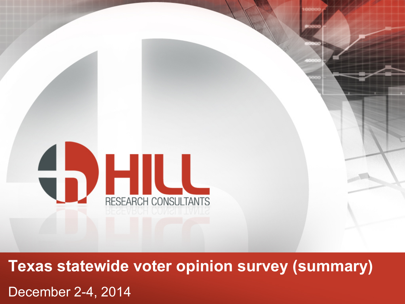

**Texas statewide voter opinion survey (summary)**  December 2-4, 2014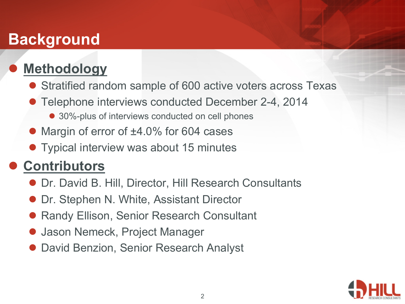## **Background**

### **Methodology**

- Stratified random sample of 600 active voters across Texas
- Telephone interviews conducted December 2-4, 2014
	- 30%-plus of interviews conducted on cell phones
- Margin of error of ±4.0% for 604 cases
- **Typical interview was about 15 minutes**

### l **Contributors**

- **Dr. David B. Hill, Director, Hill Research Consultants**
- Dr. Stephen N. White, Assistant Director
- Randy Ellison, Senior Research Consultant
- l Jason Nemeck, Project Manager
- David Benzion, Senior Research Analyst

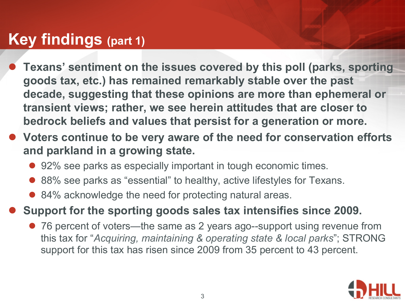### **Key findings (part 1)**

- l **Texans' sentiment on the issues covered by this poll (parks, sporting goods tax, etc.) has remained remarkably stable over the past decade, suggesting that these opinions are more than ephemeral or transient views; rather, we see herein attitudes that are closer to bedrock beliefs and values that persist for a generation or more.**
- l **Voters continue to be very aware of the need for conservation efforts and parkland in a growing state.** 
	- 92% see parks as especially important in tough economic times.
	- 88% see parks as "essential" to healthy, active lifestyles for Texans.
	- 84% acknowledge the need for protecting natural areas.

l **Support for the sporting goods sales tax intensifies since 2009.** 

• 76 percent of voters—the same as 2 years ago--support using revenue from this tax for "*Acquiring, maintaining & operating state & local parks*"; STRONG support for this tax has risen since 2009 from 35 percent to 43 percent.

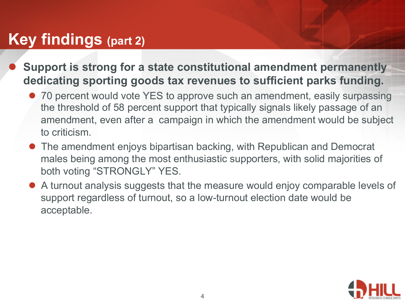### **Key findings (part 2)**

- l **Support is strong for a state constitutional amendment permanently dedicating sporting goods tax revenues to sufficient parks funding.** 
	- 70 percent would vote YES to approve such an amendment, easily surpassing the threshold of 58 percent support that typically signals likely passage of an amendment, even after a campaign in which the amendment would be subject to criticism.
	- The amendment enjoys bipartisan backing, with Republican and Democrat males being among the most enthusiastic supporters, with solid majorities of both voting "STRONGLY" YES.
	- A turnout analysis suggests that the measure would enjoy comparable levels of support regardless of turnout, so a low-turnout election date would be acceptable.

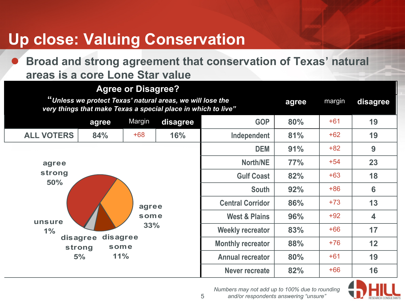# **Up close: Valuing Conservation**

l **Broad and strong agreement that conservation of Texas' natural areas is a core Lone Star value** 

#### **Agree or Disagree?**

| <b>Agive of Bloughoo</b> :<br>"Unless we protect Texas' natural areas, we will lose the<br>very things that make Texas a special place in which to live" |                                        |        |          |                          |     | margin | disagree           |
|----------------------------------------------------------------------------------------------------------------------------------------------------------|----------------------------------------|--------|----------|--------------------------|-----|--------|--------------------|
|                                                                                                                                                          | agree                                  | Margin | disagree | <b>GOP</b>               | 80% | $+61$  | 19                 |
| <b>ALL VOTERS</b>                                                                                                                                        | 84%                                    | $+68$  | 16%      | Independent              | 81% | $+62$  | 19                 |
|                                                                                                                                                          |                                        |        |          | <b>DEM</b>               | 91% | $+82$  | 9                  |
| agree                                                                                                                                                    |                                        |        |          | <b>North/NE</b>          | 77% | $+54$  | 23                 |
| strong                                                                                                                                                   |                                        |        |          | <b>Gulf Coast</b>        | 82% | $+63$  | 18                 |
| 50%                                                                                                                                                      |                                        |        |          | <b>South</b>             | 92% | $+86$  | $6\phantom{1}6$    |
|                                                                                                                                                          |                                        | agree  |          | <b>Central Corridor</b>  | 86% | $+73$  | 13                 |
| unsure                                                                                                                                                   |                                        | some   |          | <b>West &amp; Plains</b> | 96% | $+92$  | $\overline{\bf 4}$ |
| $1\%$                                                                                                                                                    |                                        | 33%    |          | <b>Weekly recreator</b>  | 83% | $+66$  | 17                 |
|                                                                                                                                                          | disagree<br>disagree<br>strong<br>some |        |          | <b>Monthly recreator</b> | 88% | $+76$  | 12                 |
|                                                                                                                                                          | 11%<br>5%                              |        |          | <b>Annual recreator</b>  | 80% | $+61$  | 19                 |
|                                                                                                                                                          |                                        |        |          | <b>Never recreate</b>    | 82% | $+66$  | 16                 |



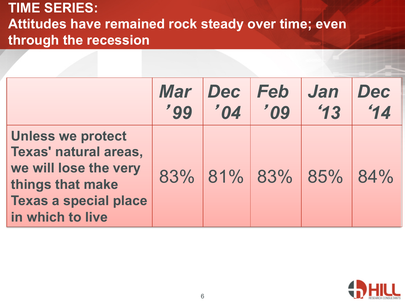### **TIME SERIES: Attitudes have remained rock steady over time; even through the recession**

|                                                                                                                                                    | Mar    | Dec    | <b>Feb</b> | <b>Jan</b>          | Dec |
|----------------------------------------------------------------------------------------------------------------------------------------------------|--------|--------|------------|---------------------|-----|
|                                                                                                                                                    | $'$ 99 | $'$ 04 | '09        | $^{\prime}$ 13      | 14  |
| <b>Unless we protect</b><br>Texas' natural areas,<br>we will lose the very<br>things that make<br><b>Texas a special place</b><br>in which to live |        |        |            | 83% 81% 83% 85% 84% |     |

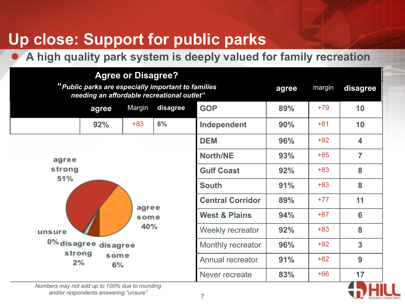# **Up close: Support for public parks**

#### l **A high quality park system is deeply valued for family recreation**

| <b>Agree or Disagree?</b><br>"Public parks are especially important to families<br>needing an affordable recreational outlet" |                      |        |                          |                   | agree | margin | disagree             |
|-------------------------------------------------------------------------------------------------------------------------------|----------------------|--------|--------------------------|-------------------|-------|--------|----------------------|
|                                                                                                                               | agree                | Margin | disagree                 | <b>GOP</b>        | 89%   | $+79$  | 10                   |
|                                                                                                                               | 92%                  | $+83$  | 8%                       | Independent       | 90%   | $+81$  | 10                   |
|                                                                                                                               |                      |        |                          | <b>DEM</b>        | 96%   | $+92$  | $\blacktriangleleft$ |
| agree                                                                                                                         |                      |        |                          | <b>North/NE</b>   | 93%   | $+85$  | $\overline{7}$       |
| strong                                                                                                                        |                      |        |                          | <b>Gulf Coast</b> | 92%   | $+83$  | 8                    |
| 51%<br>agree<br>some                                                                                                          |                      |        | <b>South</b>             | 91%               | $+83$ | 8      |                      |
|                                                                                                                               |                      |        | <b>Central Corridor</b>  | 89%               | $+77$ | 11     |                      |
|                                                                                                                               |                      |        | <b>West &amp; Plains</b> | 94%               | $+87$ | 6      |                      |
| unsure                                                                                                                        | 40%                  |        |                          |                   | 92%   | $+83$  | 8                    |
|                                                                                                                               | 0% disagree disagree |        |                          | Monthly recreator | 96%   | $+92$  | 3                    |
| strong<br>2%                                                                                                                  | some<br>6%           |        |                          | Annual recreator  | 91%   | $+82$  | 9                    |
|                                                                                                                               |                      |        |                          | Never recreate    | 83%   | $+66$  | 17<br>┲              |

*Numbers may not add up to 100% due to rounding and/or respondents answering "unsure"*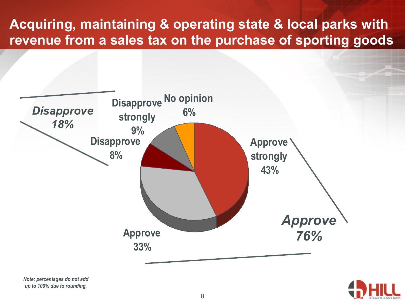### **Acquiring, maintaining & operating state & local parks with revenue from a sales tax on the purchase of sporting goods**





*Note: percentages do not add up to 100% due to rounding.*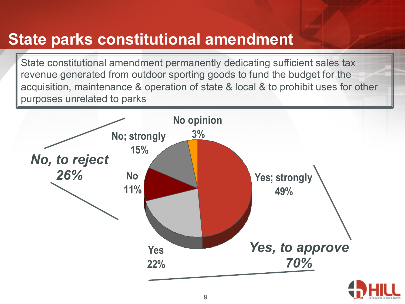## **State parks constitutional amendment**

State constitutional amendment permanently dedicating sufficient sales tax revenue generated from outdoor sporting goods to fund the budget for the acquisition, maintenance & operation of state & local & to prohibit uses for other purposes unrelated to parks

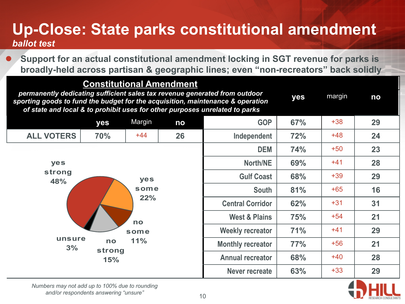#### **Up-Close: State parks constitutional amendment**  *ballot test*

**Support for an actual constitutional amendment locking in SGT revenue for parks is broadly-held across partisan & geographic lines; even "non-recreators" back solidly** 

#### **Constitutional Amendment**

| permanently dedicating sufficient sales tax revenue generated from outdoor<br>sporting goods to fund the budget for the acquisition, maintenance & operation<br>of state and local & to prohibit uses for other purposes unrelated to parks |              |        |     |                          | yes | margin | no |
|---------------------------------------------------------------------------------------------------------------------------------------------------------------------------------------------------------------------------------------------|--------------|--------|-----|--------------------------|-----|--------|----|
|                                                                                                                                                                                                                                             | yes          | Margin | no  | <b>GOP</b>               | 67% | $+38$  | 29 |
| <b>ALL VOTERS</b>                                                                                                                                                                                                                           | 70%          | $+44$  | 26  | Independent              | 72% | $+48$  | 24 |
|                                                                                                                                                                                                                                             |              |        |     | <b>DEM</b>               | 74% | $+50$  | 23 |
| yes                                                                                                                                                                                                                                         |              |        |     | <b>North/NE</b>          | 69% | $+41$  | 28 |
| strong<br>yes<br>48%                                                                                                                                                                                                                        |              |        |     | <b>Gulf Coast</b>        | 68% | $+39$  | 29 |
|                                                                                                                                                                                                                                             |              | some   |     | <b>South</b>             | 81% | $+65$  | 16 |
|                                                                                                                                                                                                                                             |              |        | 22% | <b>Central Corridor</b>  | 62% | $+31$  | 31 |
|                                                                                                                                                                                                                                             |              | no     |     | <b>West &amp; Plains</b> | 75% | $+54$  | 21 |
|                                                                                                                                                                                                                                             |              | some   |     | <b>Weekly recreator</b>  | 71% | $+41$  | 29 |
| unsure<br>3%                                                                                                                                                                                                                                | no<br>strong | 11%    |     | <b>Monthly recreator</b> | 77% | $+56$  | 21 |
|                                                                                                                                                                                                                                             | <b>15%</b>   |        |     | <b>Annual recreator</b>  | 68% | $+40$  | 28 |
|                                                                                                                                                                                                                                             |              |        |     | <b>Never recreate</b>    | 63% | $+33$  | 29 |



*Numbers may not add up to 100% due to rounding and/or respondents answering "unsure"*